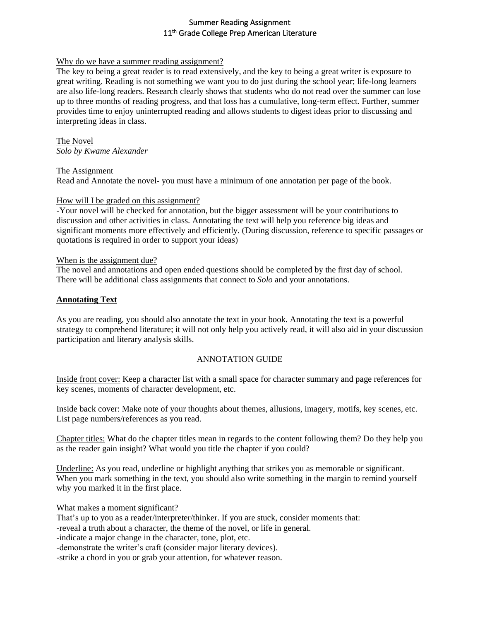# Summer Reading Assignment 11<sup>th</sup> Grade College Prep American Literature

### Why do we have a summer reading assignment?

The key to being a great reader is to read extensively, and the key to being a great writer is exposure to great writing. Reading is not something we want you to do just during the school year; life-long learners are also life-long readers. Research clearly shows that students who do not read over the summer can lose up to three months of reading progress, and that loss has a cumulative, long-term effect. Further, summer provides time to enjoy uninterrupted reading and allows students to digest ideas prior to discussing and interpreting ideas in class.

The Novel *Solo by Kwame Alexander*

The Assignment

Read and Annotate the novel- you must have a minimum of one annotation per page of the book.

### How will I be graded on this assignment?

-Your novel will be checked for annotation, but the bigger assessment will be your contributions to discussion and other activities in class. Annotating the text will help you reference big ideas and significant moments more effectively and efficiently. (During discussion, reference to specific passages or quotations is required in order to support your ideas)

### When is the assignment due?

The novel and annotations and open ended questions should be completed by the first day of school. There will be additional class assignments that connect to *Solo* and your annotations.

# **Annotating Text**

As you are reading, you should also annotate the text in your book. Annotating the text is a powerful strategy to comprehend literature; it will not only help you actively read, it will also aid in your discussion participation and literary analysis skills.

# ANNOTATION GUIDE

Inside front cover: Keep a character list with a small space for character summary and page references for key scenes, moments of character development, etc.

Inside back cover: Make note of your thoughts about themes, allusions, imagery, motifs, key scenes, etc. List page numbers/references as you read.

Chapter titles: What do the chapter titles mean in regards to the content following them? Do they help you as the reader gain insight? What would you title the chapter if you could?

Underline: As you read, underline or highlight anything that strikes you as memorable or significant. When you mark something in the text, you should also write something in the margin to remind yourself why you marked it in the first place.

What makes a moment significant?

That's up to you as a reader/interpreter/thinker. If you are stuck, consider moments that:

-reveal a truth about a character, the theme of the novel, or life in general.

-indicate a major change in the character, tone, plot, etc.

-demonstrate the writer's craft (consider major literary devices).

-strike a chord in you or grab your attention, for whatever reason.